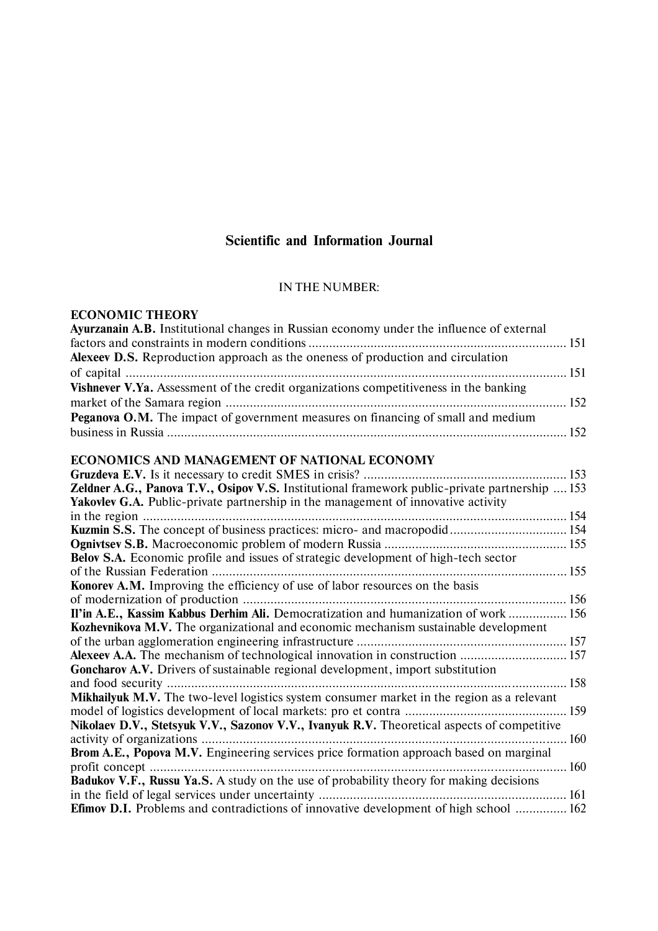# **Scientific and Information Journal**

## IN THE NUMBER:

## **ECONOMIC THEORY**

| Ayurzanain A.B. Institutional changes in Russian economy under the influence of external          |  |
|---------------------------------------------------------------------------------------------------|--|
|                                                                                                   |  |
| Alexeev D.S. Reproduction approach as the oneness of production and circulation                   |  |
|                                                                                                   |  |
| Vishnever V.Ya. Assessment of the credit organizations competitiveness in the banking             |  |
|                                                                                                   |  |
| Peganova O.M. The impact of government measures on financing of small and medium                  |  |
|                                                                                                   |  |
| ECONOMICS AND MANAGEMENT OF NATIONAL ECONOMY                                                      |  |
|                                                                                                   |  |
| Zeldner A.G., Panova T.V., Osipov V.S. Institutional framework public-private partnership  153    |  |
| Yakovlev G.A. Public-private partnership in the management of innovative activity                 |  |
|                                                                                                   |  |
|                                                                                                   |  |
|                                                                                                   |  |
| Belov S.A. Economic profile and issues of strategic development of high-tech sector               |  |
|                                                                                                   |  |
| Konorev A.M. Improving the efficiency of use of labor resources on the basis                      |  |
|                                                                                                   |  |
| Il'in A.E., Kassim Kabbus Derhim Ali. Democratization and humanization of work  156               |  |
| <b>Kozhevnikova M.V.</b> The organizational and economic mechanism sustainable development        |  |
|                                                                                                   |  |
| Alexeev A.A. The mechanism of technological innovation in construction  157                       |  |
| Goncharov A.V. Drivers of sustainable regional development, import substitution                   |  |
|                                                                                                   |  |
| <b>Mikhailyuk M.V.</b> The two-level logistics system consumer market in the region as a relevant |  |
|                                                                                                   |  |
| Nikolaev D.V., Stetsyuk V.V., Sazonov V.V., Ivanyuk R.V. Theoretical aspects of competitive       |  |
|                                                                                                   |  |
| Brom A.E., Popova M.V. Engineering services price formation approach based on marginal            |  |
|                                                                                                   |  |
| Badukov V.F., Russu Ya.S. A study on the use of probability theory for making decisions           |  |
|                                                                                                   |  |

**Efimov D.I.** Problems and contradictions of innovative development of high school ............... 162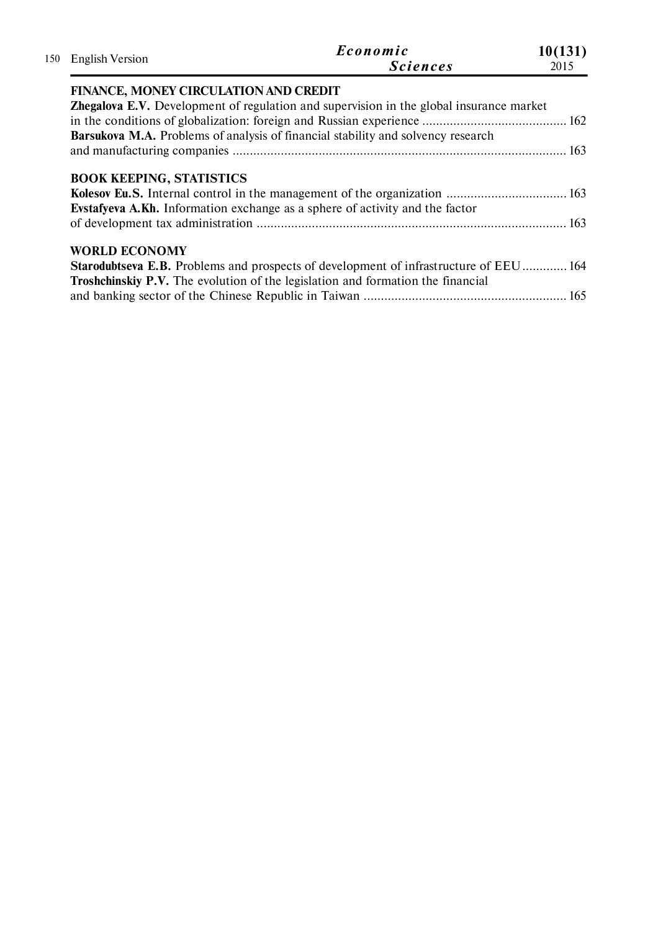| <b>English Version</b><br>150         | Economic<br><b>Sciences</b>                                                                                                                                                            | 10(131)<br>2015 |
|---------------------------------------|----------------------------------------------------------------------------------------------------------------------------------------------------------------------------------------|-----------------|
| FINANCE, MONEY CIRCULATION AND CREDIT |                                                                                                                                                                                        |                 |
|                                       | <b>Zhegalova E.V.</b> Development of regulation and supervision in the global insurance market                                                                                         |                 |
|                                       |                                                                                                                                                                                        |                 |
|                                       | <b>Barsukova M.A.</b> Problems of analysis of financial stability and solvency research                                                                                                |                 |
|                                       |                                                                                                                                                                                        |                 |
| <b>BOOK KEEPING, STATISTICS</b>       | <b>Everyonal A.Kh.</b> Information exchange as a sphere of activity and the factor                                                                                                     |                 |
|                                       |                                                                                                                                                                                        |                 |
| <b>WORLD ECONOMY</b>                  | <b>Starodubtseva E.B.</b> Problems and prospects of development of infrastructure of EEU 164<br><b>Troshchinskiy P.V.</b> The evolution of the legislation and formation the financial |                 |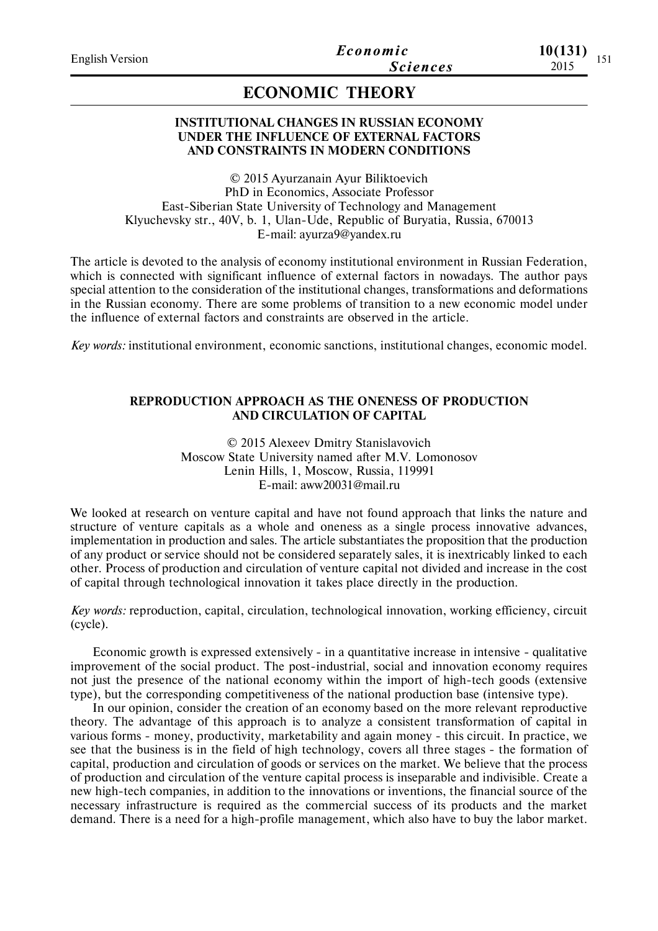# **ECONOMIC THEORY**

## **INSTITUTIONAL CHANGES IN RUSSIAN ECONOMY UNDER THE INFLUENCE OF EXTERNAL FACTORS AND CONSTRAINTS IN MODERN CONDITIONS**

© 2015 Ayurzanain Ayur Biliktoevich PhD in Economics, Associate Professor East-Siberian State University of Technology and Management Klyuchevsky str., 40V, b. 1, Ulan-Ude, Republic of Buryatia, Russia, 670013 E-mail: ayurza9@yandex.ru

The article is devoted to the analysis of economy institutional environment in Russian Federation, which is connected with significant influence of external factors in nowadays. The author pays special attention to the consideration of the institutional changes, transformations and deformations in the Russian economy. There are some problems of transition to a new economic model under the influence of external factors and constraints are observed in the article.

*Key words:* institutional environment, economic sanctions, institutional changes, economic model.

## **REPRODUCTION APPROACH AS THE ONENESS OF PRODUCTION AND CIRCULATION OF CAPITAL**

© 2015 Aleхeev Dmitry Stanislavovich Moscow State University named after M.V. Lomonosov Lenin Hills, 1, Moscow, Russia, 119991 E-mail: aww20031@mail.ru

We looked at research on venture capital and have not found approach that links the nature and structure of venture capitals as a whole and oneness as a single process innovative advances, implementation in production and sales. The article substantiates the proposition that the production of any product or service should not be considered separately sales, it is inextricably linked to each other. Process of production and circulation of venture capital not divided and increase in the cost of capital through technological innovation it takes place directly in the production.

*Key words:* reproduction, capital, circulation, technological innovation, working efficiency, circuit (cycle).

Economic growth is expressed extensively - in a quantitative increase in intensive - qualitative improvement of the social product. The post-industrial, social and innovation economy requires not just the presence of the national economy within the import of high-tech goods (extensive type), but the corresponding competitiveness of the national production base (intensive type).

In our opinion, consider the creation of an economy based on the more relevant reproductive theory. The advantage of this approach is to analyze a consistent transformation of capital in various forms - money, productivity, marketability and again money - this circuit. In practice, we see that the business is in the field of high technology, covers all three stages - the formation of capital, production and circulation of goods or services on the market. We believe that the process of production and circulation of the venture capital process is inseparable and indivisible. Create a new high-tech companies, in addition to the innovations or inventions, the financial source of the necessary infrastructure is required as the commercial success of its products and the market demand. There is a need for a high-profile management, which also have to buy the labor market.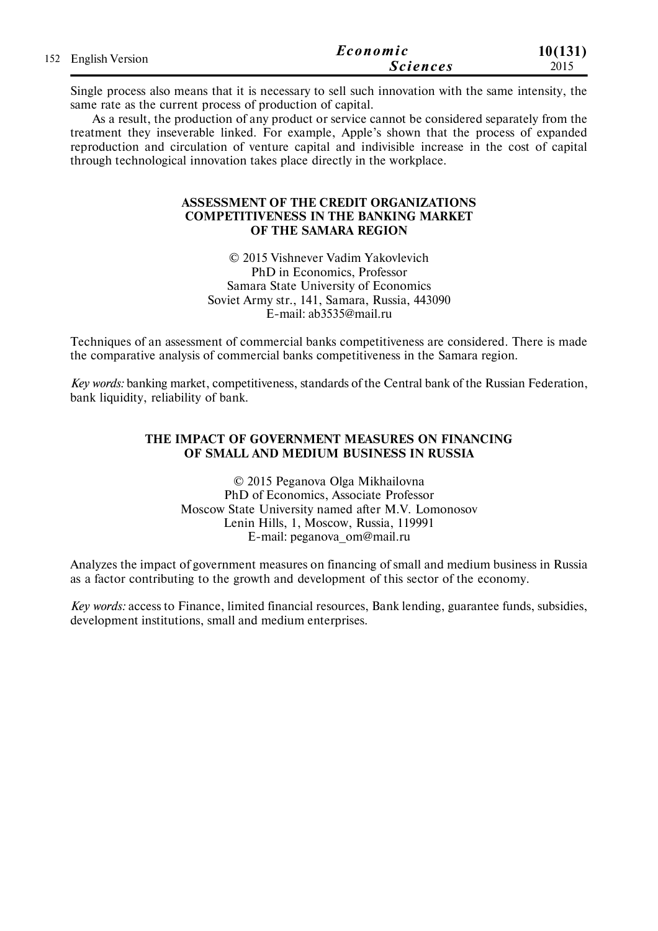| 152 English Version | Economic        | 10(131) |
|---------------------|-----------------|---------|
|                     | <i>Sciences</i> | 2015    |

Single process also means that it is necessary to sell such innovation with the same intensity, the same rate as the current process of production of capital.

As a result, the production of any product or service cannot be considered separately from the treatment they inseverable linked. For example, Apple's shown that the process of expanded reproduction and circulation of venture capital and indivisible increase in the cost of capital through technological innovation takes place directly in the workplace.

## **ASSESSMENT OF THE CREDIT ORGANIZATIONS COMPETITIVENESS IN THE BANKING MARKET OF THE SAMARA REGION**

© 2015 Vishnever Vadim Yakovlevich PhD in Economics, Professor Samara State University of Economics Soviet Army str., 141, Samara, Russia, 443090 E-mail: ab3535@mail.ru

Techniques of an assessment of commercial banks competitiveness are considered. There is made the comparative analysis of commercial banks competitiveness in the Samara region.

*Key words:* banking market, competitiveness, standards of the Central bank of the Russian Federation, bank liquidity, reliability of bank.

## **THE IMPACT OF GOVERNMENT MEASURES ON FINANCING OF SMALL AND MEDIUM BUSINESS IN RUSSIA**

© 2015 Peganova Olga Mikhailovna PhD of Economics, Associate Professor Moscow State University named after M.V. Lomonosov Lenin Hills, 1, Moscow, Russia, 119991 E-mail: peganova\_om@mail.ru

Analyzes the impact of government measures on financing of small and medium business in Russia as a factor contributing to the growth and development of this sector of the economy.

*Key words:* access to Finance, limited financial resources, Bank lending, guarantee funds, subsidies, development institutions, small and medium enterprises.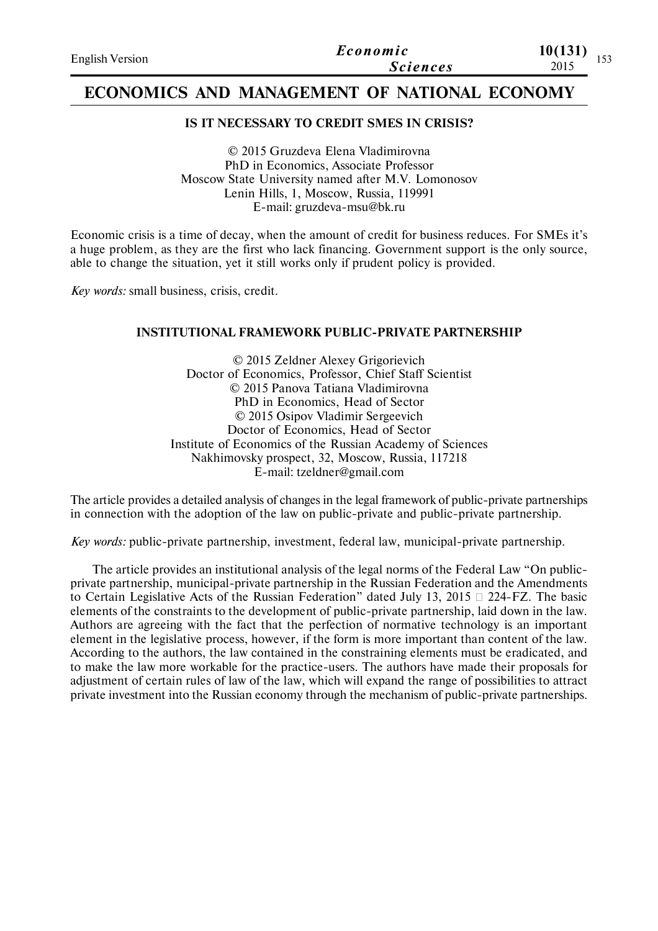| <b>English Version</b> | Economic        | 10(131)<br>1.52 |
|------------------------|-----------------|-----------------|
|                        | <i>Sciences</i> | 1 J J<br>2015   |

# **ECONOMICS AND MANAGEMENT OF NATIONAL ECONOMY**

## **IS IT NECESSARY TO CREDIT SMES IN CRISIS?**

© 2015 Gruzdeva Elena Vladimirovna PhD in Economics, Associate Professor Moscow State University named after M.V. Lomonosov Lenin Hills, 1, Moscow, Russia, 119991 E-mail: gruzdeva-msu@bk.ru

Economic crisis is a time of decay, when the amount of credit for business reduces. For SMEs it's a huge problem, as they are the first who lack financing. Government support is the only source, able to change the situation, yet it still works only if prudent policy is provided.

*Key words:* small business, crisis, credit.

## **INSTITUTIONAL FRAMEWORK PUBLIC-PRIVATE PARTNERSHIP**

© 2015 Zeldner Alexey Grigorievich Doctor of Economics, Professor, Chief Staff Scientist © 2015 Panova Tatiana Vladimirovna PhD in Economics, Head of Sector © 2015 Osipov Vladimir Sergeevich Doctor of Economics, Head of Sector Institute of Economics of the Russian Academy of Sciences Nakhimovsky prospect, 32, Moscow, Russia, 117218 E-mail: tzeldner@gmail.com

The article provides a detailed analysis of changes in the legal framework of public-private partnerships in connection with the adoption of the law on public-private and public-private partnership.

*Key words:* public-private partnership, investment, federal law, municipal-private partnership.

The article provides an institutional analysis of the legal norms of the Federal Law "On publicprivate partnership, municipal-private partnership in the Russian Federation and the Amendments to Certain Legislative Acts of the Russian Federation" dated July 13, 2015  $\Box$  224-FZ. The basic elements of the constraints to the development of public-private partnership, laid down in the law. Authors are agreeing with the fact that the perfection of normative technology is an important element in the legislative process, however, if the form is more important than content of the law. According to the authors, the law contained in the constraining elements must be eradicated, and to make the law more workable for the practice-users. The authors have made their proposals for adjustment of certain rules of law of the law, which will expand the range of possibilities to attract private investment into the Russian economy through the mechanism of public-private partnerships.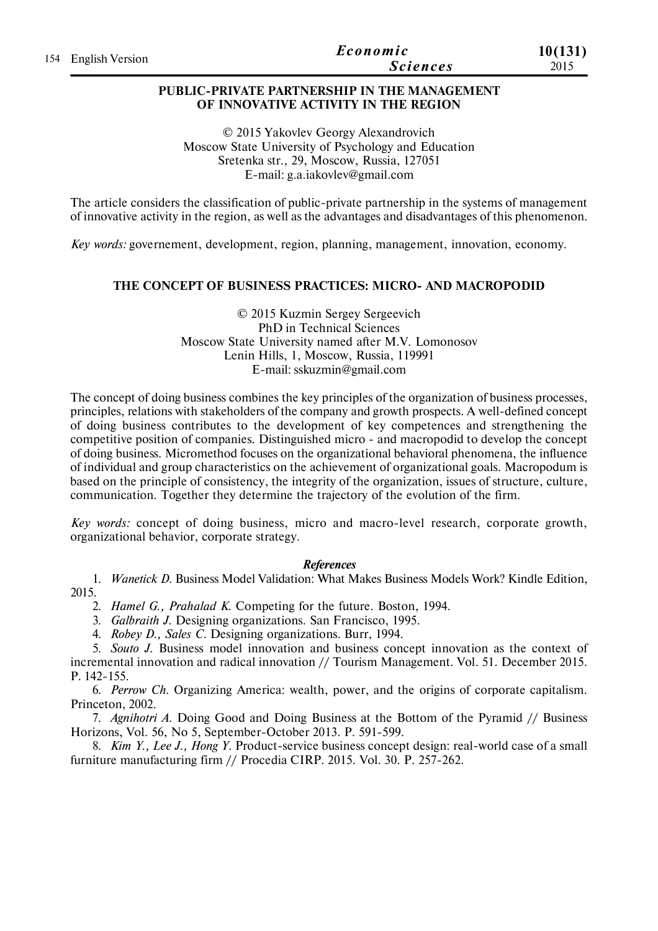|                     | Economic        | 10(131) |
|---------------------|-----------------|---------|
| 154 English Version | <i>Sciences</i> | 2015    |

## **PUBLIC-PRIVATE PARTNERSHIP IN THE MANAGEMENT OF INNOVATIVE ACTIVITY IN THE REGION**

© 2015 Yakovlev Georgy Alexandrovich Moscow State University of Psychology and Education Sretenka str., 29, Moscow, Russia, 127051 E-mail: g.a.iakovlev@gmail.com

The article considers the classification of public-private partnership in the systems of management of innovative activity in the region, as well as the advantages and disadvantages of this phenomenon.

*Key words:* governement, development, region, planning, management, innovation, economy.

## **THE CONCEPT OF BUSINESS PRACTICES: MICRO- AND MACROPODID**

© 2015 Kuzmin Sergey Sergeevich PhD in Technical Sciences Moscow State University named after M.V. Lomonosov Lenin Hills, 1, Moscow, Russia, 119991 E-mail: sskuzmin@gmail.com

The concept of doing business combines the key principles of the organization of business processes, principles, relations with stakeholders of the company and growth prospects. A well-defined concept of doing business contributes to the development of key competences and strengthening the competitive position of companies. Distinguished micro - and macropodid to develop the concept of doing business. Micromethod focuses on the organizational behavioral phenomena, the influence of individual and group characteristics on the achievement of organizational goals. Macropodum is based on the principle of consistency, the integrity of the organization, issues of structure, culture, communication. Together they determine the trajectory of the evolution of the firm.

*Key words:* concept of doing business, micro and macro-level research, corporate growth, organizational behavior, corporate strategy.

#### *References*

1. *Wanetick D.* Business Model Validation: What Makes Business Models Work? Kindle Edition, 2015.

2. *Hamel G., Prahalad K.* Competing for the future. Boston, 1994.

3. *Galbraith J.* Designing organizations. San Francisco, 1995.

4. *Robey D., Sales C.* Designing organizations. Burr, 1994.

5. *Souto J.* Business model innovation and business concept innovation as the context of incremental innovation and radical innovation // Tourism Management. Vol. 51. December 2015. P. 142-155.

6. *Perrow Ch.* Organizing America: wealth, power, and the origins of corporate capitalism. Princeton, 2002.

7. *Agnihotri A.* Doing Good and Doing Business at the Bottom of the Pyramid // Business Horizons, Vol. 56, No 5, September-October 2013. P. 591-599.

8. *Kim Y., Lee J., Hong Y.* Рroduct-service business concept design: real-world case of a small furniture manufacturing firm // Procedia CIRP. 2015. Vol. 30. P. 257-262.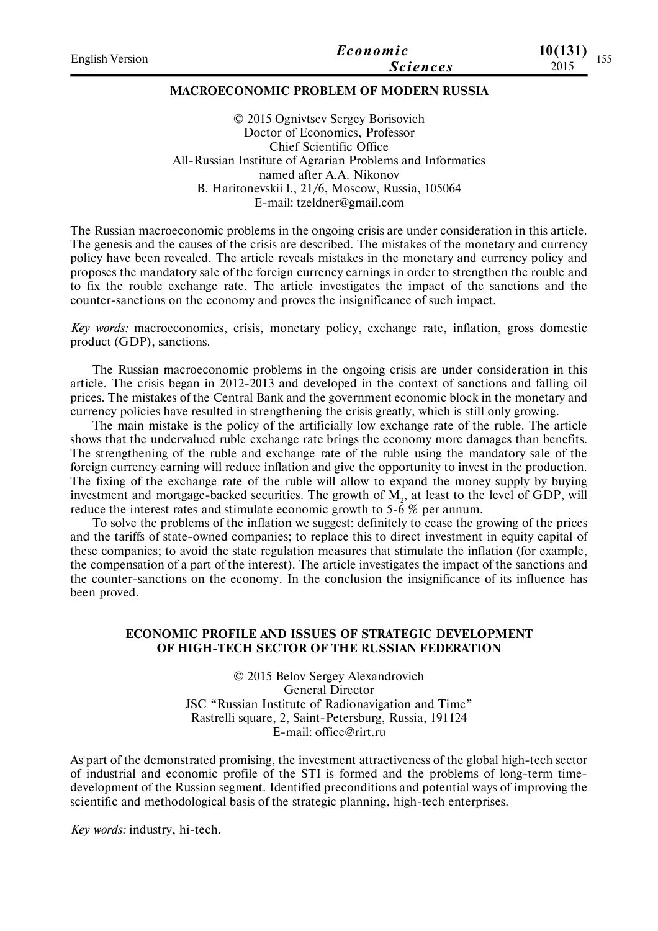| <b>English Version</b> | Economic        | 10(131)<br>155 |
|------------------------|-----------------|----------------|
|                        | <b>Sciences</b> | 2015           |
|                        |                 |                |

## **MACROECONOMIC PROBLEM OF MODERN RUSSIA**

© 2015 Ognivtsev Sergey Borisovich Doctor of Economics, Professor Chief Scientific Office All-Russian Institute of Agrarian Problems and Informatics named after A.A. Nikonov B. Haritonevskii l., 21/6, Moscow, Russia, 105064 E-mail: tzeldner@gmail.com

The Russian macroeconomic problems in the ongoing crisis are under consideration in this article. The genesis and the causes of the crisis are described. The mistakes of the monetary and currency policy have been revealed. The article reveals mistakes in the monetary and currency policy and proposes the mandatory sale of the foreign currency earnings in order to strengthen the rouble and to fix the rouble exchange rate. The article investigates the impact of the sanctions and the counter-sanctions on the economy and proves the insignificance of such impact.

*Key words:* macroeconomics, crisis, monetary policy, exchange rate, inflation, gross domestic product (GDP), sanctions.

The Russian macroeconomic problems in the ongoing crisis are under consideration in this article. The crisis began in 2012-2013 and developed in the context of sanctions and falling oil prices. The mistakes of the Central Bank and the government economic block in the monetary and currency policies have resulted in strengthening the crisis greatly, which is still only growing.

The main mistake is the policy of the artificially low exchange rate of the ruble. The article shows that the undervalued ruble exchange rate brings the economy more damages than benefits. The strengthening of the ruble and exchange rate of the ruble using the mandatory sale of the foreign currency earning will reduce inflation and give the opportunity to invest in the production. The fixing of the exchange rate of the ruble will allow to expand the money supply by buying investment and mortgage-backed securities. The growth of  $\text{M}_{2}$ , at least to the level of GDP, will reduce the interest rates and stimulate economic growth to  $5-\overline{6}$  % per annum.

To solve the problems of the inflation we suggest: definitely to cease the growing of the prices and the tariffs of state-owned companies; to replace this to direct investment in equity capital of these companies; to avoid the state regulation measures that stimulate the inflation (for example, the compensation of a part of the interest). The article investigates the impact of the sanctions and the counter-sanctions on the economy. In the conclusion the insignificance of its influence has been proved.

## **ECONOMIC PROFILE AND ISSUES OF STRATEGIC DEVELOPMENT OF HIGH-TECH SECTOR OF THE RUSSIAN FEDERATION**

© 2015 Belov Sergey Alexandrovich General Director JSC "Russian Institute of Radionavigation and Time" Rastrelli square, 2, Saint-Petersburg, Russia, 191124 E-mail: office@rirt.ru

As part of the demonstrated promising, the investment attractiveness of the global high-tech sector of industrial and economic profile of the STI is formed and the problems of long-term timedevelopment of the Russian segment. Identified preconditions and potential ways of improving the scientific and methodological basis of the strategic planning, high-tech enterprises.

*Key words:* industry, hi-tech.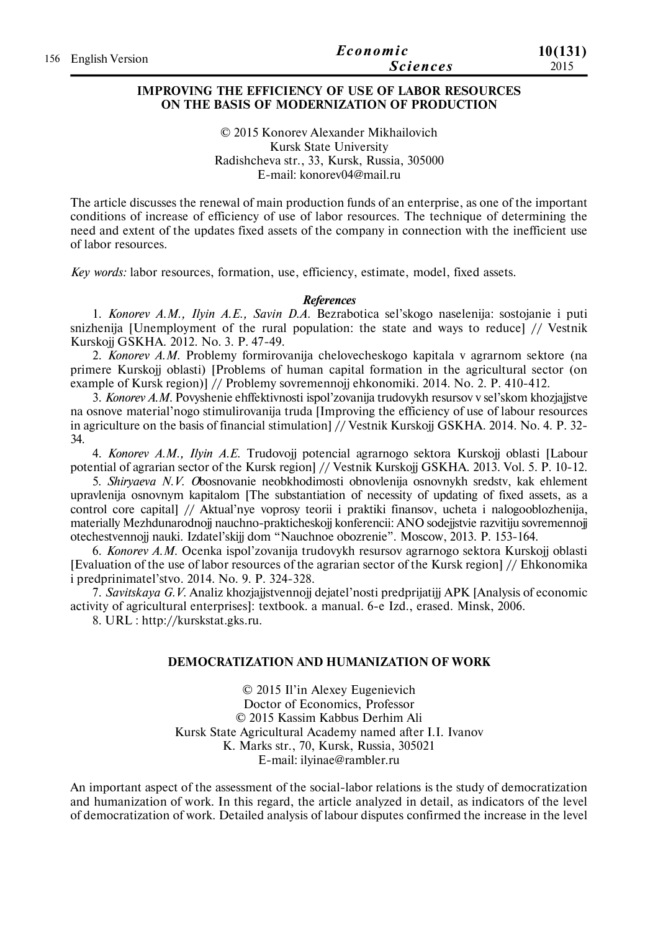|                     | Economic        | 10(131) |
|---------------------|-----------------|---------|
| 156 English Version | <i>Sciences</i> | 2015    |

### **IMPROVING THE EFFICIENCY OF USE OF LABOR RESOURCES ON THE BASIS OF MODERNIZATION OF PRODUCTION**

© 2015 Konorev Alexander Mikhailovich Kursk State University Radishcheva str., 33, Kursk, Russia, 305000 E-mail: konorev04@mail.ru

The article discusses the renewal of main production funds of an enterprise, as one of the important conditions of increase of efficiency of use of labor resources. The technique of determining the need and extent of the updates fixed assets of the company in connection with the inefficient use of labor resources.

*Key words:* labor resources, formation, use, efficiency, estimate, model, fixed assets.

#### *References*

1. *Konorev A.M., Ilyin A.E., Savin D.A.* Bezrabotica sel'skogo naselenija: sostojanie i puti snizhenija [Unemployment of the rural population: the state and ways to reduce] // Vestnik Kurskojj GSKHA. 2012. No. 3. P. 47-49.

2. *Konorev A.M.* Problemy formirovanija chelovecheskogo kapitala v agrarnom sektore (na primere Kurskojj oblasti) [Problems of human capital formation in the agricultural sector (on example of Kursk region)] // Problemy sovremennojj ehkonomiki. 2014. No. 2. P. 410-412.

3. *Konorev A.M.* Povyshenie ehffektivnosti ispol'zovanija trudovykh resursov v sel'skom khozjajjstve na osnove material'nogo stimulirovanija truda [Improving the efficiency of use of labour resources in agriculture on the basis of financial stimulation] // Vestnik Kurskojj GSKHA. 2014. No. 4. P. 32- 34.

4. *Konorev A.M., Ilyin A.E.* Trudovojj potencial agrarnogo sektora Kurskojj oblasti [Labour potential of agrarian sector of the Kursk region] // Vestnik Kurskojj GSKHA. 2013. Vol. 5. P. 10-12.

5. *Shiryaeva N.V. O*bosnovanie neobkhodimosti obnovlenija osnovnykh sredstv, kak ehlement upravlenija osnovnym kapitalom [The substantiation of necessity of updating of fixed assets, as a control core capital] // Aktual'nye voprosy teorii i praktiki finansov, ucheta i nalogooblozhenija, materially Mezhdunarodnojj nauchno-prakticheskojj konferencii: ANO sodejjstvie razvitiju sovremennojj otechestvennojj nauki. Izdatel'skijj dom "Nauchnoe obozrenie". Moscow, 2013. P. 153-164.

6. *Konorev A.M.* Ocenka ispol'zovanija trudovykh resursov agrarnogo sektora Kurskojj oblasti [Evaluation of the use of labor resources of the agrarian sector of the Kursk region] // Ehkonomika i predprinimatel'stvo. 2014. No. 9. P. 324-328.

7. *Savitskaya G.V.* Analiz khozjajjstvennojj dejatel'nosti predprijatijj APK [Analysis of economic activity of agricultural enterprises]: textbook. a manual. 6-e Izd., erased. Minsk, 2006.

8. URL : http://kurskstat.gks.ru.

### **DEMOCRATIZATION AND HUMANIZATION OF WORK**

© 2015 Il'in Alexey Eugenievich Doctor of Economics, Professor © 2015 Kassim Kabbus Derhim Ali Kursk State Agricultural Academy named after I.I. Ivanov K. Marks str., 70, Kursk, Russia, 305021 E-mail: ilyinae@rambler.ru

An important aspect of the assessment of the social-labor relations is the study of democratization and humanization of work. In this regard, the article analyzed in detail, as indicators of the level of democratization of work. Detailed analysis of labour disputes confirmed the increase in the level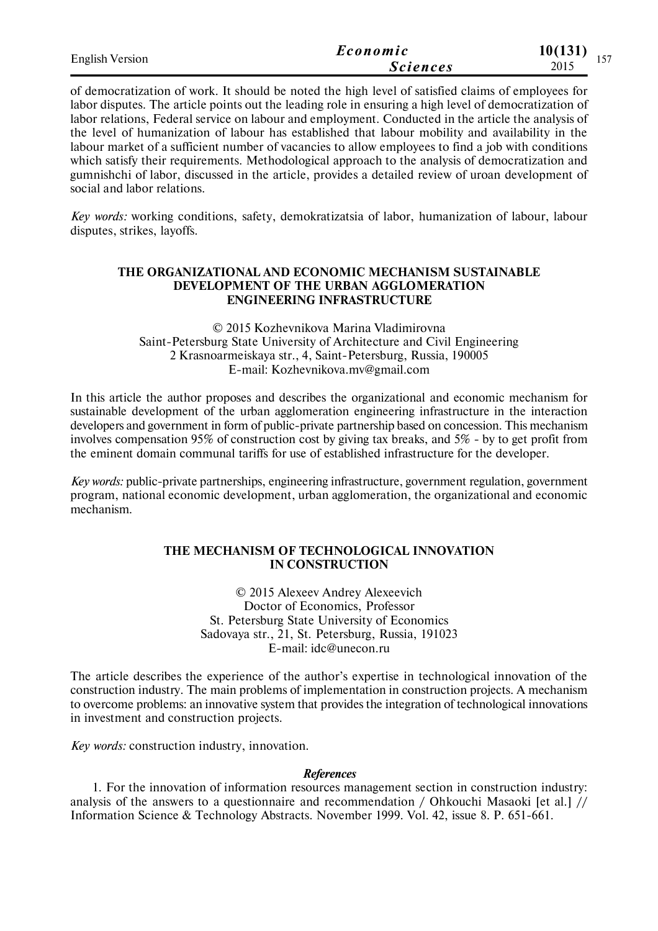| <b>English Version</b> | Economic        | 10(131)<br>$\sim$ $ -$ |
|------------------------|-----------------|------------------------|
|                        | <b>Sciences</b> | 2015                   |

of democratization of work. It should be noted the high level of satisfied claims of employees for labor disputes. The article points out the leading role in ensuring a high level of democratization of labor relations, Federal service on labour and employment. Conducted in the article the analysis of the level of humanization of labour has established that labour mobility and availability in the labour market of a sufficient number of vacancies to allow employees to find a job with conditions which satisfy their requirements. Methodological approach to the analysis of democratization and gumnishchi of labor, discussed in the article, provides a detailed review of uroan development of social and labor relations.

*Key words:* working conditions, safety, demokratizatsia of labor, humanization of labour, labour disputes, strikes, layoffs.

## **THE ORGANIZATIONAL AND ECONOMIC MECHANISM SUSTAINABLE DEVELOPMENT OF THE URBAN AGGLOMERATION ENGINEERING INFRASTRUCTURE**

© 2015 Kozhevnikova Marina Vladimirovna Saint-Petersburg State University of Architecture and Civil Engineering 2 Krasnoarmeiskaya str., 4, Saint-Petersburg, Russia, 190005 E-mail: Kozhevnikova.mv@gmail.com

In this article the author proposes and describes the organizational and economic mechanism for sustainable development of the urban agglomeration engineering infrastructure in the interaction developers and government in form of public-private partnership based on concession. This mechanism involves compensation 95% of construction cost by giving tax breaks, and 5% - by to get profit from the eminent domain communal tariffs for use of established infrastructure for the developer.

*Key words:* public-private partnerships, engineering infrastructure, government regulation, government program, national economic development, urban agglomeration, the organizational and economic mechanism.

## **THE MECHANISM OF TECHNOLOGICAL INNOVATION IN CONSTRUCTION**

© 2015 Alexeev Andrey Alexeevich Doctor of Economics, Professor St. Petersburg State University of Economics Sadovaya str., 21, St. Petersburg, Russia, 191023 E-mail: idc@unecon.ru

The article describes the experience of the author's expertise in technological innovation of the construction industry. The main problems of implementation in construction projects. A mechanism to overcome problems: an innovative system that provides the integration of technological innovations in investment and construction projects.

*Key words:* construction industry, innovation.

#### *References*

1. For the innovation of information resources management section in construction industry: analysis of the answers to a questionnaire and recommendation / Ohkouchi Masaoki [et al.] // Information Science & Technology Abstracts. November 1999. Vol. 42, issue 8. P. 651-661.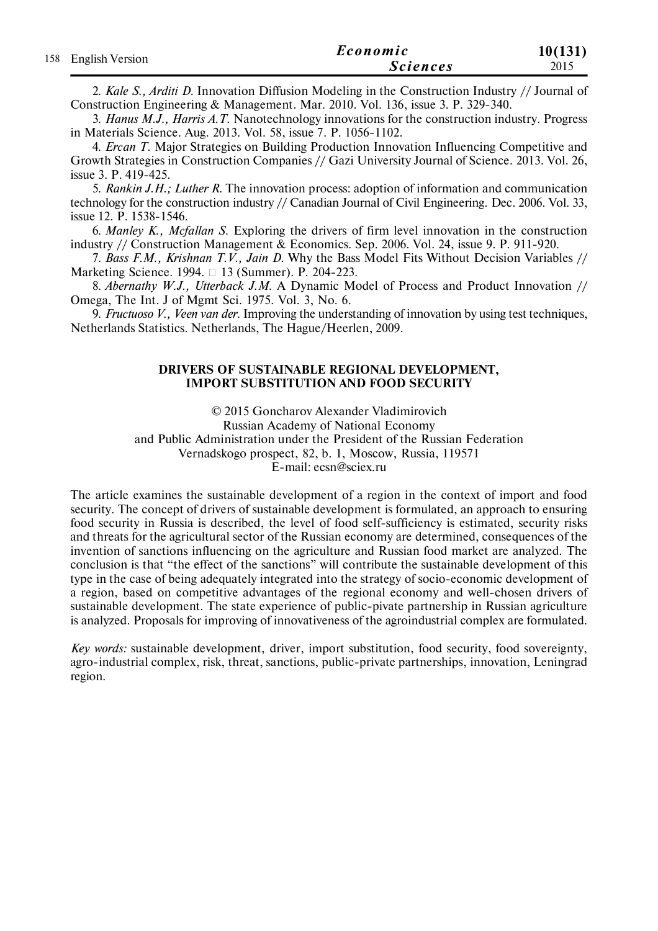|                     | Economic        | 10(131) |
|---------------------|-----------------|---------|
| 158 English Version | <b>Sciences</b> | 2015    |

2. *Kale S., Arditi D.* Innovation Diffusion Modeling in the Construction Industry // Journal of Construction Engineering & Management. Mar. 2010. Vol. 136, issue 3. P. 329-340.

3. *Hanus M.J., Harris A.T.* Nanotechnology innovations for the construction industry. Progress in Materials Science. Aug. 2013. Vol. 58, issue 7. P. 1056-1102.

4. *Ercan T.* Major Strategies on Building Production Innovation Influencing Competitive and Growth Strategies in Construction Companies // Gazi University Journal of Science. 2013. Vol. 26, issue 3. P. 419-425.

5. *Rankin J.H.; Luther R.* The innovation process: adoption of information and communication technology for the construction industry // Canadian Journal of Civil Engineering. Dec. 2006. Vol. 33, issue 12. P. 1538-1546.

6. *Manley K., Mcfallan S.* Exploring the drivers of firm level innovation in the construction industry // Construction Management & Economics. Sep. 2006. Vol. 24, issue 9. P. 911-920.

7. *Bass F.M., Krishnan T.V., Jain D.* Why the Bass Model Fits Without Decision Variables // Marketing Science. 1994. 13 (Summer). Р. 204-223.

8. *Abernathy W.J., Utterback J.M.* A Dynamic Model of Process and Product Innovation // Omega, The Int. J of Mgmt Sci. 1975. Vol. 3, No. 6.

9. *Fructuoso V., Veen van der.* Improving the understanding of innovation by using test techniques, Netherlands Statistics. Netherlands, The Hague/Heerlen, 2009.

### **DRIVERS OF SUSTAINABLE REGIONAL DEVELOPMENT, IMPORT SUBSTITUTION AND FOOD SECURITY**

© 2015 Goncharov Alexander Vladimirovich

Russian Academy of National Economy

and Public Administration under the President of the Russian Federation

Vernadskogo prospect, 82, b. 1, Moscow, Russia, 119571

E-mail: ecsn@sciex.ru

The article examines the sustainable development of a region in the context of import and food security. The concept of drivers of sustainable development is formulated, an approach to ensuring food security in Russia is described, the level of food self-sufficiency is estimated, security risks and threats for the agricultural sector of the Russian economy are determined, consequences of the invention of sanctions influencing on the agriculture and Russian food market are analyzed. The conclusion is that "the effect of the sanctions" will contribute the sustainable development of this type in the case of being adequately integrated into the strategy of socio-economic development of a region, based on competitive advantages of the regional economy and well-chosen drivers of sustainable development. The state experience of public-pivate partnership in Russian agriculture is analyzed. Proposals for improving of innovativeness of the agroindustrial complex are formulated.

*Key words:* sustainable development, driver, import substitution, food security, food sovereignty, agro-industrial complex, risk, threat, sanctions, public-private partnerships, innovation, Leningrad region.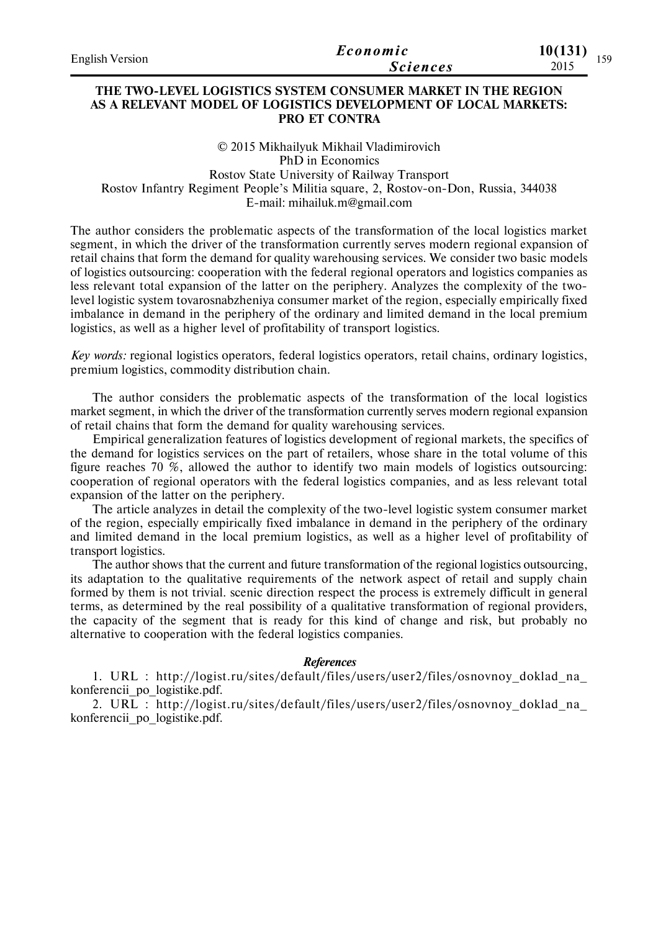| <b>English Version</b> | Economic        | 10(131)<br>150 |
|------------------------|-----------------|----------------|
|                        | <i>Sciences</i> | 2015           |

## **THE TWO-LEVEL LOGISTICS SYSTEM CONSUMER MARKET IN THE REGION AS A RELEVANT MODEL OF LOGISTICS DEVELOPMENT OF LOCAL MARKETS: PRO ET CONTRA**

© 2015 Mikhailyuk Mikhail Vladimirovich PhD in Economics Rostov State University of Railway Transport Rostov Infantry Regiment People's Militia square, 2, Rostov-on-Don, Russia, 344038 E-mail: mihailuk.m@gmail.com

The author considers the problematic aspects of the transformation of the local logistics market segment, in which the driver of the transformation currently serves modern regional expansion of retail chains that form the demand for quality warehousing services. We consider two basic models of logistics outsourcing: cooperation with the federal regional operators and logistics companies as less relevant total expansion of the latter on the periphery. Analyzes the complexity of the twolevel logistic system tovarosnabzheniya consumer market of the region, especially empirically fixed imbalance in demand in the periphery of the ordinary and limited demand in the local premium logistics, as well as a higher level of profitability of transport logistics.

*Key words:* regional logistics operators, federal logistics operators, retail chains, ordinary logistics, premium logistics, commodity distribution chain.

The author considers the problematic aspects of the transformation of the local logistics market segment, in which the driver of the transformation currently serves modern regional expansion of retail chains that form the demand for quality warehousing services.

Empirical generalization features of logistics development of regional markets, the specifics of the demand for logistics services on the part of retailers, whose share in the total volume of this figure reaches 70 %, allowed the author to identify two main models of logistics outsourcing: cooperation of regional operators with the federal logistics companies, and as less relevant total expansion of the latter on the periphery.

The article analyzes in detail the complexity of the two-level logistic system consumer market of the region, especially empirically fixed imbalance in demand in the periphery of the ordinary and limited demand in the local premium logistics, as well as a higher level of profitability of transport logistics.

The author shows that the current and future transformation of the regional logistics outsourcing, its adaptation to the qualitative requirements of the network aspect of retail and supply chain formed by them is not trivial. scenic direction respect the process is extremely difficult in general terms, as determined by the real possibility of a qualitative transformation of regional providers, the capacity of the segment that is ready for this kind of change and risk, but probably no alternative to cooperation with the federal logistics companies.

#### *References*

1. URL : http://logist.ru/sites/default/files/users/user2/files/osnovnoy\_doklad\_na\_ konferencii\_po\_logistike.pdf.

2. URL : http://logist.ru/sites/default/files/users/user2/files/osnovnoy\_doklad\_na\_ konferencii\_po\_logistike.pdf.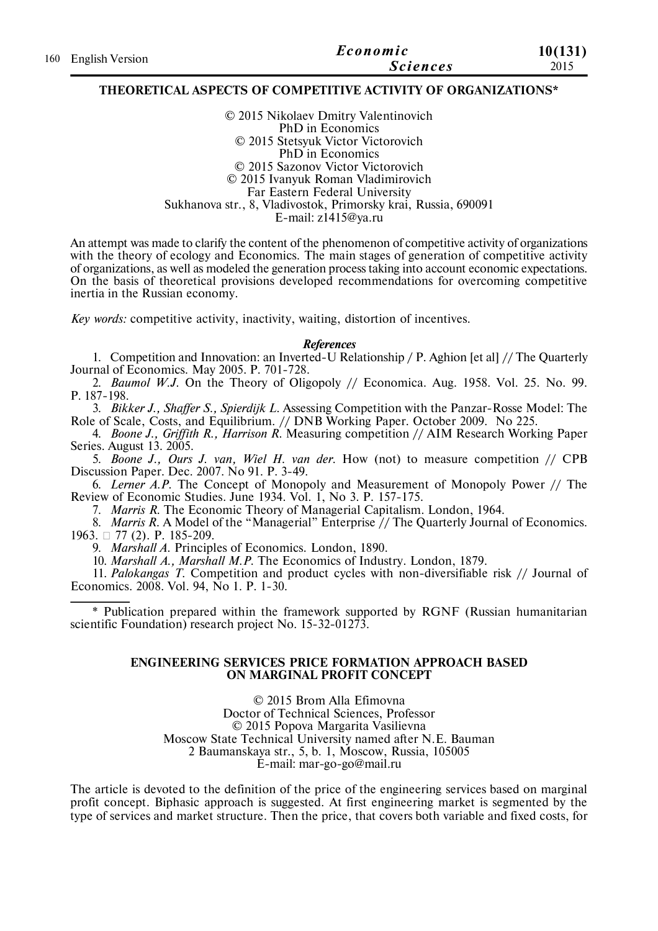|                     | Economic        | 10(131) |
|---------------------|-----------------|---------|
| 160 English Version | <b>Sciences</b> | 2015    |

#### **THEORETICAL ASPECTS OF COMPETITIVE ACTIVITY OF ORGANIZATIONS\***

© 2015 Nikolaev Dmitry Valentinovich PhD in Economics © 2015 Stetsyuk Victor Viсtorovich PhD in Economics © 2015 Sazonov Victor Viсtorovich © 2015 Ivanyuk Roman Vladimirovich Far Eastern Federal University Sukhanova str., 8, Vladivostok, Primorsky krai, Russia, 690091 E-mail: z1415@ya.ru

An attempt was made to clarify the content of the phenomenon of competitive activity of organizations with the theory of ecology and Economics. The main stages of generation of competitive activity of organizations, as well as modeled the generation process taking into account economic expectations. On the basis of theoretical provisions developed recommendations for overcoming competitive inertia in the Russian economy.

*Key words:* competitive activity, inactivity, waiting, distortion of incentives.

#### *References*

1. Competition and Innovation: an Inverted-U Relationship / P. Aghion [et al] // The Quarterly Journal of Economics. May 2005. P. 701-728.

2. *Baumol W.J.* On the Theory of Oligopoly // Economica. Aug. 1958. Vol. 25. No. 99. P. 187-198.

3. *Bikker J., Shaffer S., Spierdijk L.* Assessing Competition with the Panzar-Rosse Model: The Role of Scale, Costs, and Equilibrium. // DNB Working Paper. October 2009. No 225.

4. *Boone J., Griffith R., Harrison R.* Measuring competition // AIM Research Working Paper Series. August 13. 2005.

5. *Boone J., Ours J. van, Wiel H. van der.* How (not) to measure competition // CPB Discussion Paper. Dec. 2007. No 91. P. 3-49.

6. *Lerner A.P.* The Concept of Monopoly and Measurement of Monopoly Power // The Review of Economic Studies. June 1934. Vol. 1, No 3. P. 157-175.

7. *Marris R.* The Economic Theory of Managerial Capitalism. London, 1964.

8. *Marris R.A.* Model of the "Managerial" Enterprise  $\hat{I}$  The Quarterly Journal of Economics. 1963. □ 77 (2). P. 185-209.

9. *Marshall A.* Principles of Economics. London, 1890.

10. *Marshall A., Marshall M.P.* The Economics of Industry. London, 1879.

11. *Palokangas T.* Competition and product cycles with non-diversifiable risk // Journal of Economics. 2008. Vol. 94, No 1. P. 1-30.

\* Publication prepared within the framework supported by RGNF (Russian humanitarian scientific Foundation) research project No.  $15-32-012\overline{73}$ .

#### **ENGINEERING SERVICES PRICE FORMATION APPROACH BASED ON MARGINAL PROFIT CONCEPT**

© 2015 Brom Alla Efimovna Doctor of Technical Sciences, Professor © 2015 Popova Margarita Vasilievna Moscow State Technical University named after N.E. Bauman 2 Baumanskaya str., 5, b. 1, Moscow, Russia, 105005 E-mail: mar-go-go@mail.ru

The article is devoted to the definition of the price of the engineering services based on marginal profit concept. Biphasic approach is suggested. At first engineering market is segmented by the type of services and market structure. Then the price, that covers both variable and fixed costs, for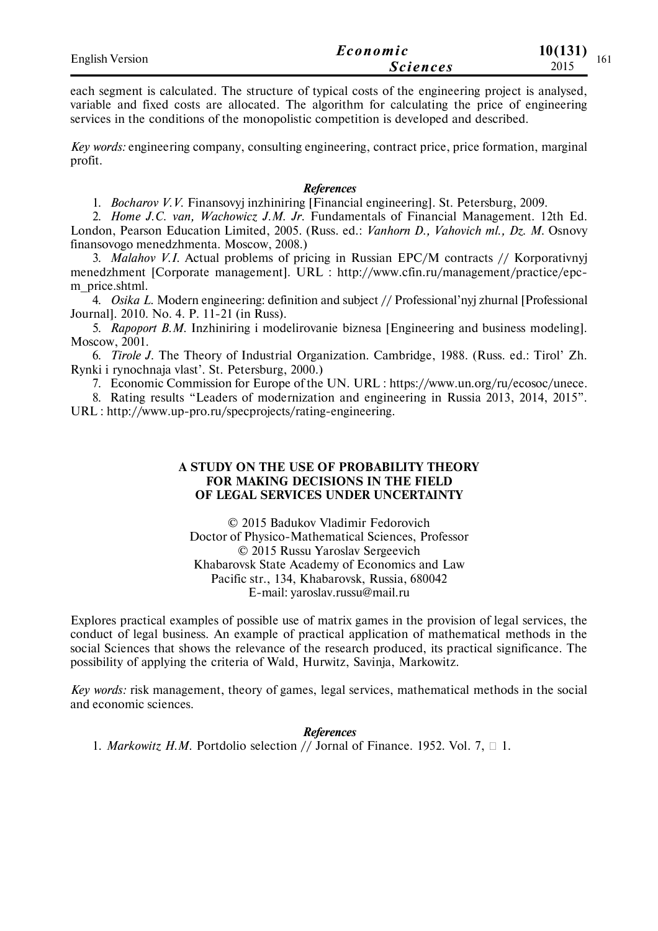| <b>English Version</b> | Economic        | 10(131) |     |
|------------------------|-----------------|---------|-----|
|                        | <i>Sciences</i> | 2015    | 161 |

each segment is calculated. The structure of typical costs of the engineering project is analysed, variable and fixed costs are allocated. The algorithm for calculating the price of engineering services in the conditions of the monopolistic competition is developed and described.

*Key words:* engineering company, consulting engineering, contract price, price formation, marginal profit.

#### *References*

1. *Bocharov V.V.* Finansovyj inzhiniring [Financial engineering]. St. Petersburg, 2009.

2. *Home J.C. van, Wachowicz J.M. Jr.* Fundamentals of Financial Management. 12th Ed. London, Pearson Education Limited, 2005. (Russ. ed.: *Vanhorn D., Vahovich ml., Dz. M.* Osnovy finansovogo menedzhmenta. Moscow, 2008.)

3. *Malahov V.I.* Actual problems of pricing in Russian EPC/M contracts // Korporativnyj menedzhment [Corporate management]. URL : http://www.cfin.ru/management/practice/epcm\_price.shtml.

4. *Osika L.* Modern engineering: definition and subject // Professional'nyj zhurnal [Professional Journal]. 2010. No. 4. P. 11-21 (in Russ).

5. *Rapoport B.M.* Inzhiniring i modelirovanie biznesa [Engineering and business modeling]. Moscow, 2001.

6. *Tirole J.* The Theory of Industrial Organization. Cambridge, 1988. (Russ. ed.: Tirol' Zh. Rynki i rynochnaja vlast'. St. Petersburg, 2000.)

7. Economic Commission for Europe of the UN. URL : https://www.un.org/ru/ecosoc/unece.

8. Rating results "Leaders of modernization and engineering in Russia 2013, 2014, 2015". URL : http://www.up-pro.ru/specprojects/rating-engineering.

### **A STUDY ON THE USE OF PROBABILITY THEORY FOR MAKING DECISIONS IN THE FIELD OF LEGAL SERVICES UNDER UNCERTAINTY**

© 2015 Badukov Vladimir Fedorovich Doctor of Physico-Mathematical Sciences, Professor © 2015 Russu Yaroslav Sergeevich Khabarovsk State Academy of Economics and Law Pacific str., 134, Khabarovsk, Russia, 680042 E-mail: yaroslav.russu@mail.ru

Explores practical examples of possible use of matrix games in the provision of legal services, the conduct of legal business. An example of practical application of mathematical methods in the social Sciences that shows the relevance of the research produced, its practical significance. The possibility of applying the criteria of Wald, Hurwitz, Savinja, Markowitz.

*Key words:* risk management, theory of games, legal services, mathematical methods in the social and economic sciences.

*References* 1. *Markowitz H.M.* Portdolio selection // Jornal of Finance. 1952. Vоl. 7, 1.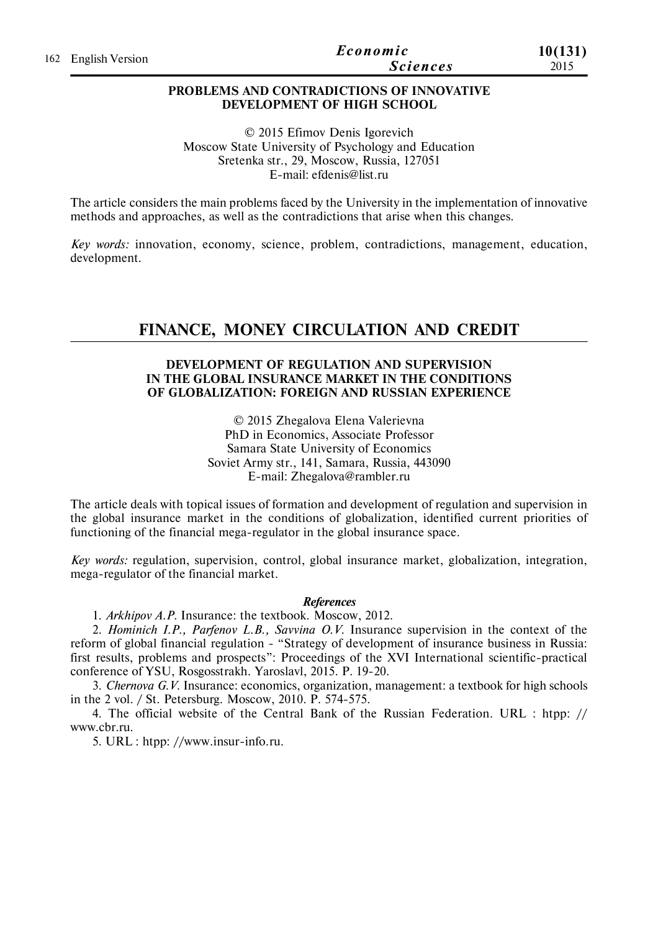| 162 English Version | Economic        | 10(131) |
|---------------------|-----------------|---------|
|                     | <i>Sciences</i> | 2015    |

## **PROBLEMS AND CONTRADICTIONS OF INNOVATIVE DEVELOPMENT OF HIGH SCHOOL**

© 2015 Efimov Denis Igorevich Moscow State University of Psychology and Education Sretenka str., 29, Moscow, Russia, 127051 E-mail: efdenis@list.ru

The article considers the main problems faced by the University in the implementation of innovative methods and approaches, as well as the contradictions that arise when this changes.

*Key words:* innovation, economy, science, problem, contradictions, management, education, development.

# **FINANCE, MONEY CIRCULATION AND CREDIT**

## **DEVELOPMENT OF REGULATION AND SUPERVISION IN THE GLOBAL INSURANCE MARKET IN THE CONDITIONS OF GLOBALIZATION: FOREIGN AND RUSSIAN EXPERIENCE**

© 2015 Zhegalova Elena Valerievna PhD in Economics, Associate Professor Samara State University of Economics Soviet Army str., 141, Samara, Russia, 443090 E-mail: Zhegalova@rambler.ru

The article deals with topical issues of formation and development of regulation and supervision in the global insurance market in the conditions of globalization, identified current priorities of functioning of the financial mega-regulator in the global insurance space.

*Key words:* regulation, supervision, control, global insurance market, globalization, integration, mega-regulator of the financial market.

#### *References*

1. *Arkhipov A.P.* Insurance: the textbook. Moscow, 2012.

2. *Hominich I.P., Parfenov L.B., Savvina O.V.* Insurance supervision in the context of the reform of global financial regulation - "Strategy of development of insurance business in Russia: first results, problems and prospects": Proceedings of the XVI International scientific-practical conference of YSU, Rosgosstrakh. Yaroslavl, 2015. Р. 19-20.

3. *Chernova G.V.* Insurance: economics, organization, management: a textbook for high schools in the 2 vol. / St. Petersburg. Moscow, 2010. P. 574-575.

4. The official website of the Central Bank of the Russian Federation. URL : htpp: // www.cbr.ru.

5. URL : htpp: //www.insur-info.ru.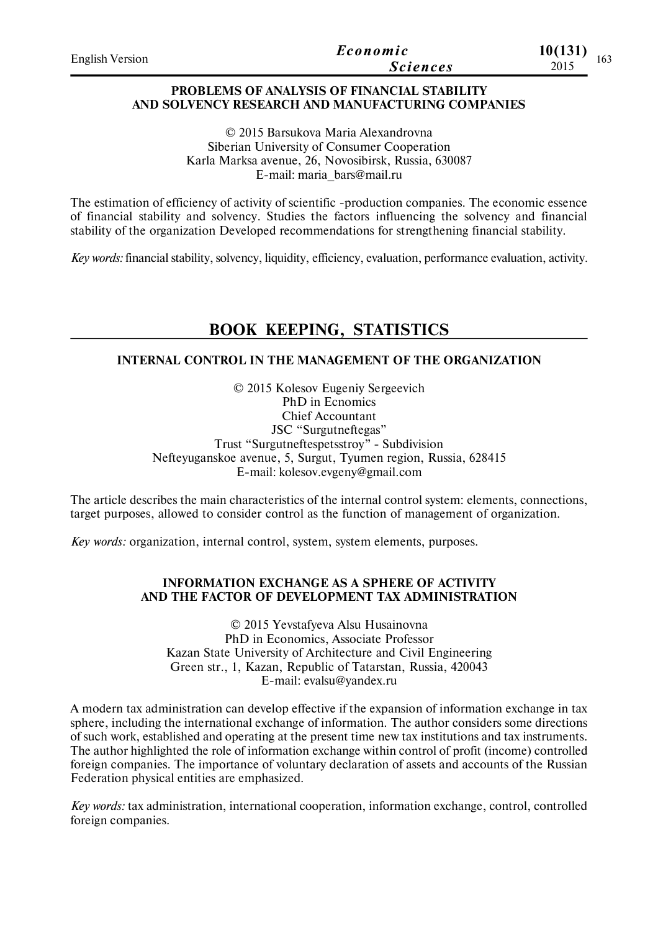| <b>English Version</b> | Economic        | 10(131)      |
|------------------------|-----------------|--------------|
|                        | <i>Sciences</i> | 103.<br>2015 |

## **PROBLEMS OF ANALYSIS OF FINANCIAL STABILITY AND SOLVENCY RESEARCH AND MANUFACTURING COMPANIES**

© 2015 Barsukova Maria Alexandrovna Siberian University of Consumer Cooperation Karla Marksa avenue, 26, Novosibirsk, Russia, 630087 E-mail: maria\_bars@mail.ru

The estimation of efficiency of activity of scientific -production companies. The economic essence of financial stability and solvency. Studies the factors influencing the solvency and financial stability of the organization Developed recommendations for strengthening financial stability.

*Key words:* financial stability, solvency, liquidity, efficiency, evaluation, performance evaluation, activity.

# **BOOK KEEPING, STATISTICS**

## **INTERNAL CONTROL IN THE MANAGEMENT OF THE ORGANIZATION**

© 2015 Kolesov Eugeniy Sergeevich PhD in Ecnomics Chief Accountant JSC "Surgutneftegas" Trust "Surgutneftespetsstroy" - Subdivision Nefteyuganskoe avenue, 5, Surgut, Tyumen region, Russia, 628415 E-mail: kolesov.evgeny@gmail.com

The article describes the main characteristics of the internal control system: elements, connections, target purposes, allowed to consider control as the function of management of organization.

*Key words:* organization, internal control, system, system elements, purposes.

## **INFORMATION EXCHANGE AS A SPHERE OF ACTIVITY AND THE FACTOR OF DEVELOPMENT TAX ADMINISTRATION**

© 2015 Yevstafyeva Alsu Husainovna PhD in Economics, Associate Professor Kazan State University of Architecture and Civil Engineering Green str., 1, Kazan, Republic of Tatarstan, Russia, 420043 E-mail: evalsu@yandex.ru

A modern tax administration can develop effective if the expansion of information exchange in tax sphere, including the international exchange of information. The author considers some directions of such work, established and operating at the present time new tax institutions and tax instruments. The author highlighted the role of information exchange within control of profit (income) controlled foreign companies. The importance of voluntary declaration of assets and accounts of the Russian Federation physical entities are emphasized.

*Key words:* tax administration, international cooperation, information exchange, control, controlled foreign companies.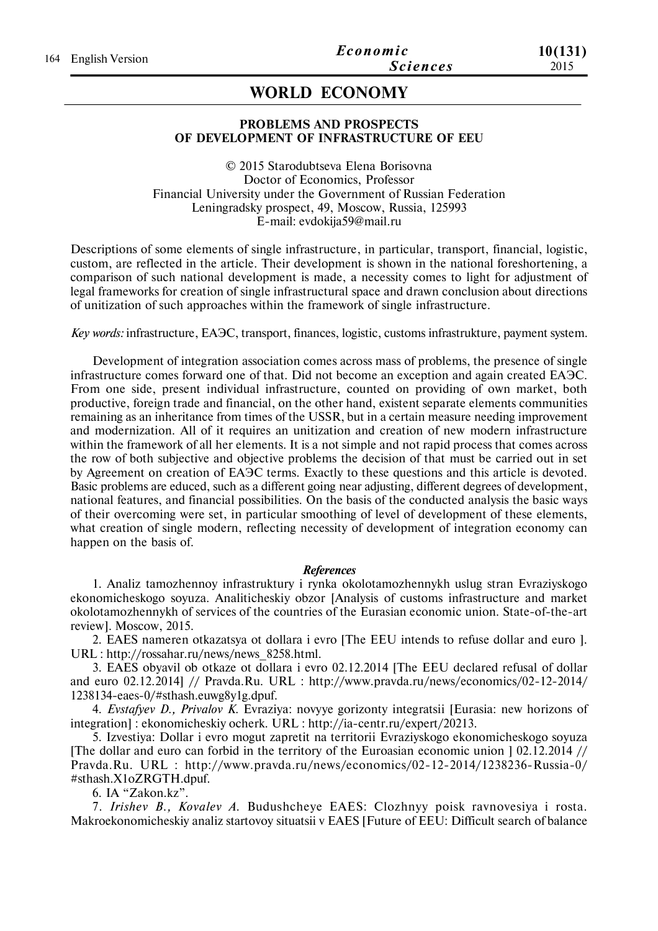# **WORLD ECONOMY**

#### **PROBLEMS AND PROSPECTS OF DEVELOPMENT OF INFRASTRUCTURE OF EEU**

© 2015 Starodubtseva Elena Borisovna Doctor of Economics, Professor Financial University under the Government of Russian Federation Leningradsky prospect, 49, Moscow, Russia, 125993 E-mail: evdokija59@mail.ru

Descriptions of some elements of single infrastructure, in particular, transport, financial, logistic, custom, are reflected in the article. Their development is shown in the national foreshortening, a comparison of such national development is made, a necessity comes to light for adjustment of legal frameworks for creation of single infrastructural space and drawn conclusion about directions of unitization of such approaches within the framework of single infrastructure.

*Key words:* infrastructure, ЕАЭС, transport, finances, logistic, customs infrastrukturе, payment system.

Development of integration association comes across mass of problems, the presence of single infrastructure comes forward one of that. Did not become an exception and again created ЕАЭС. From one side, present individual infrastructure, counted on providing of own market, both productive, foreign trade and financial, on the other hand, existent separate elements communities remaining as an inheritance from times of the USSR, but in a certain measure needing improvement and modernization. All of it requires an unitization and creation of new modern infrastructure within the framework of all her elements. It is a not simple and not rapid process that comes across the row of both subjective and objective problems the decision of that must be carried out in set by Agreement on creation of ЕАЭС terms. Exactly to these questions and this article is devoted. Basic problems are educed, such as a different going near adjusting, different degrees of development, national features, and financial possibilities. On the basis of the conducted analysis the basic ways of their overcoming were set, in particular smoothing of level of development of these elements, what creation of single modern, reflecting necessity of development of integration economy can happen on the basis of.

#### *References*

1. Analiz tamozhennoy infrastruktury i rynka okolotamozhennykh uslug stran Evraziyskogo ekonomicheskogo soyuza. Analiticheskiy obzor [Analysis of customs infrastructure and market okolotamozhennykh of services of the countries of the Eurasian economic union. State-of-the-art review]. Moscow, 2015.

2. EAES nameren otkazatsya ot dollara i evro [The EEU intends to refuse dollar and euro ]. URL : http://rossahar.ru/news/news\_8258.html.

3. EAES obyavil ob otkaze ot dollara i evro 02.12.2014 [The EEU declared refusal of dollar and euro 02.12.2014] // Pravda.Ru. URL : http://www.pravda.ru/news/economics/02-12-2014/ 1238134-eaes-0/#sthash.euwg8y1g.dpuf.

4. *Evstafyev D., Privalov K.* Evraziya: novyye gorizonty integratsii [Eurasia: new horizons of integration] : ekonomicheskiy ocherk. URL : http://ia-centr.ru/expert/20213.

5. Izvestiya: Dollar i evro mogut zapretit na territorii Evraziyskogo ekonomicheskogo soyuza [The dollar and euro can forbid in the territory of the Euroasian economic union ] 02.12.2014 // Pravda.Ru. URL : http://www.pravda.ru/news/economics/02-12-2014/1238236-Russia-0/ #sthash.X1oZRGTH.dpuf.

6. IA "Zakon.kz".

7. *Irishev B., Kovalev A.* Budushcheye EAES: Clozhnyy poisk ravnovesiya i rosta. Makroekonomicheskiy analiz startovoy situatsii v EAES [Future of EEU: Difficult search of balance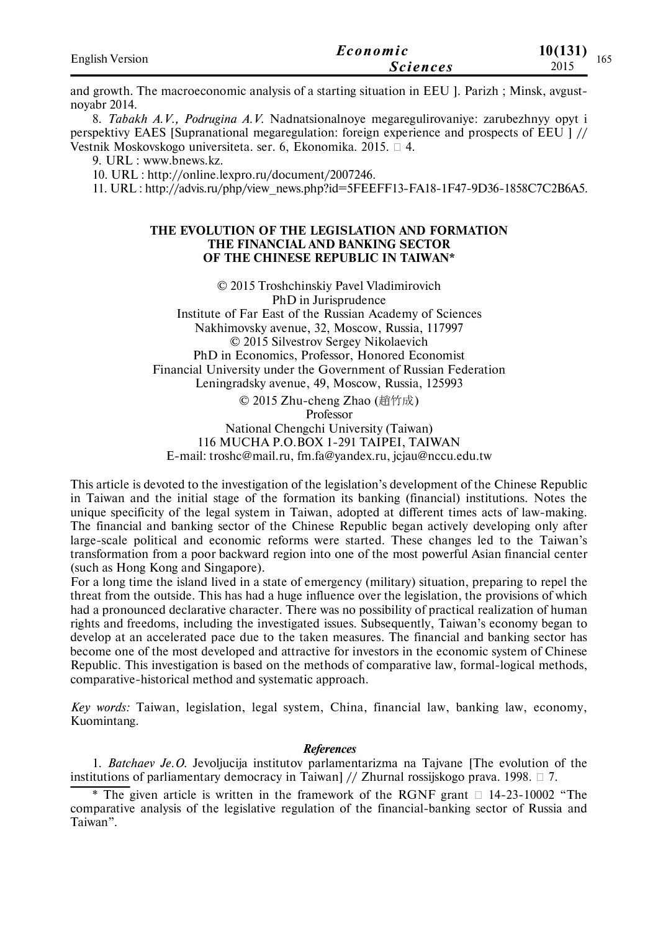| <b>English Version</b> | Economic        | 10(131)<br>$\sim$ |
|------------------------|-----------------|-------------------|
|                        | <i>Sciences</i> | 165<br>2015       |

and growth. The macroeconomic analysis of a starting situation in EEU ]. Parizh ; Minsk, avgustnoyabr 2014.

8. *Tabakh A.V., Podrugina A.V.* Nadnatsionalnoye megaregulirovaniye: zarubezhnyy opyt i perspektivy EAES [Supranational megaregulation: foreign experience and prospects of EEU ] // Vestnik Moskovskogo universiteta. ser. 6, Ekonomika. 2015.  $\Box$  4.

9. URL : www.bnews.kz.

10. URL : http://online.lexpro.ru/document/2007246.

11. URL : http://advis.ru/php/view\_news.php?id=5FEEFF13-FA18-1F47-9D36-1858C7C2B6A5.

### **THE EVOLUTION OF THE LEGISLATION AND FORMATION THE FINANCIAL AND BANKING SECTOR OF THE CHINESE REPUBLIC IN TAIWAN\***

© 2015 Troshchinskiy Pavel Vladimirovich PhD in Jurisprudence Institute of Far East of the Russian Academy of Sciences Nakhimovsky avenue, 32, Moscow, Russia, 117997 © 2015 Silvestrov Sergey Nikolaevich PhD in Economics, Professor, Honored Economist Financial University under the Government of Russian Federation Leningradsky avenue, 49, Moscow, Russia, 125993 © 2015 Zhu-cheng Zhao (趙竹成) Professor National Chengchi University (Taiwan)

116 MUCHA P.O.BOX 1-291 TAIPEI, TAIWAN E-mail: troshc@mail.ru, fm.fa@yandex.ru, jcjau@nccu.edu.tw

This article is devoted to the investigation of the legislation's development of the Chinese Republic in Taiwan and the initial stage of the formation its banking (financial) institutions. Notes the unique specificity of the legal system in Taiwan, adopted at different times acts of law-making. The financial and banking sector of the Chinese Republic began actively developing only after large-scale political and economic reforms were started. These changes led to the Taiwan's transformation from a poor backward region into one of the most powerful Asian financial center (such as Hong Kong and Singapore).

For a long time the island lived in a state of emergency (military) situation, preparing to repel the threat from the outside. This has had a huge influence over the legislation, the provisions of which had a pronounced declarative character. There was no possibility of practical realization of human rights and freedoms, including the investigated issues. Subsequently, Taiwan's economy began to develop at an accelerated pace due to the taken measures. The financial and banking sector has become one of the most developed and attractive for investors in the economic system of Chinese Republic. This investigation is based on the methods of comparative law, formal-logical methods, comparative-historical method and systematic approach.

*Key words:* Taiwan, legislation, legal system, China, financial law, banking law, economy, Kuomintang.

#### *References*

1. *Batchaev Je.O.* Jevoljucija institutov parlamentarizma na Tajvane [The evolution of the institutions of parliamentary democracy in Taiwan] // Zhurnal rossijskogo prava. 1998.  $\Box$  7.

\* The given article is written in the framework of the RGNF grant  $\Box$  14-23-10002 "The comparative analysis of the legislative regulation of the financial-banking sector of Russia and Taiwan".